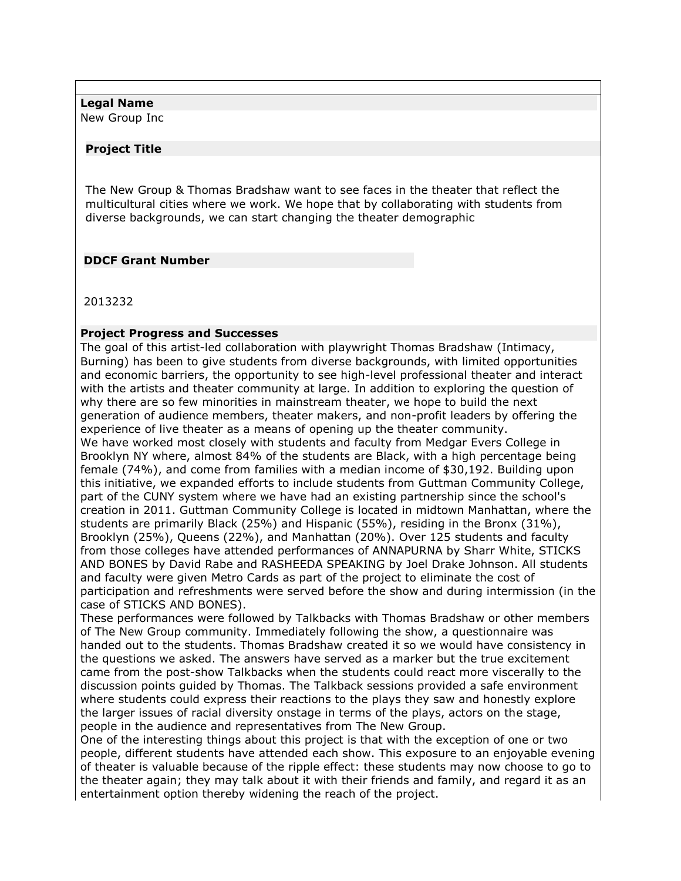### **Legal Name**

New Group Inc

#### **Project Title**

The New Group & Thomas Bradshaw want to see faces in the theater that reflect the multicultural cities where we work. We hope that by collaborating with students from diverse backgrounds, we can start changing the theater demographic

#### **DDCF Grant Number**

2013232

# **Project Progress and Successes**

The goal of this artist-led collaboration with playwright Thomas Bradshaw (Intimacy, Burning) has been to give students from diverse backgrounds, with limited opportunities and economic barriers, the opportunity to see high-level professional theater and interact with the artists and theater community at large. In addition to exploring the question of why there are so few minorities in mainstream theater, we hope to build the next generation of audience members, theater makers, and non-profit leaders by offering the experience of live theater as a means of opening up the theater community. We have worked most closely with students and faculty from Medgar Evers College in Brooklyn NY where, almost 84% of the students are Black, with a high percentage being female (74%), and come from families with a median income of \$30,192. Building upon this initiative, we expanded efforts to include students from Guttman Community College, part of the CUNY system where we have had an existing partnership since the school's creation in 2011. Guttman Community College is located in midtown Manhattan, where the students are primarily Black (25%) and Hispanic (55%), residing in the Bronx (31%), Brooklyn (25%), Queens (22%), and Manhattan (20%). Over 125 students and faculty from those colleges have attended performances of ANNAPURNA by Sharr White, STICKS AND BONES by David Rabe and RASHEEDA SPEAKING by Joel Drake Johnson. All students and faculty were given Metro Cards as part of the project to eliminate the cost of participation and refreshments were served before the show and during intermission (in the case of STICKS AND BONES).

These performances were followed by Talkbacks with Thomas Bradshaw or other members of The New Group community. Immediately following the show, a questionnaire was handed out to the students. Thomas Bradshaw created it so we would have consistency in the questions we asked. The answers have served as a marker but the true excitement came from the post-show Talkbacks when the students could react more viscerally to the discussion points guided by Thomas. The Talkback sessions provided a safe environment where students could express their reactions to the plays they saw and honestly explore the larger issues of racial diversity onstage in terms of the plays, actors on the stage, people in the audience and representatives from The New Group.

One of the interesting things about this project is that with the exception of one or two people, different students have attended each show. This exposure to an enjoyable evening of theater is valuable because of the ripple effect: these students may now choose to go to the theater again; they may talk about it with their friends and family, and regard it as an entertainment option thereby widening the reach of the project.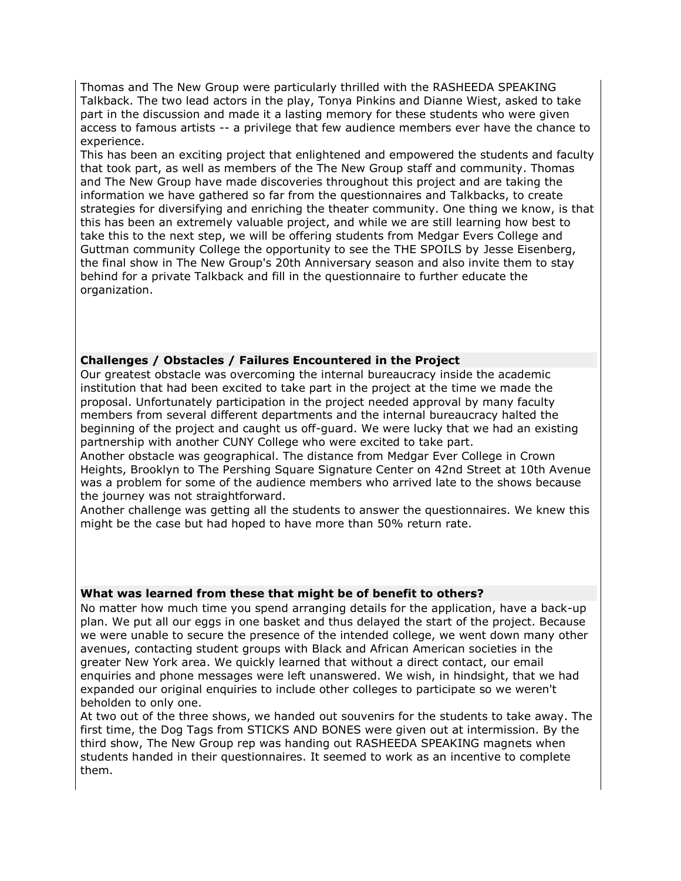Thomas and The New Group were particularly thrilled with the RASHEEDA SPEAKING Talkback. The two lead actors in the play, Tonya Pinkins and Dianne Wiest, asked to take part in the discussion and made it a lasting memory for these students who were given access to famous artists -- a privilege that few audience members ever have the chance to experience.

This has been an exciting project that enlightened and empowered the students and faculty that took part, as well as members of the The New Group staff and community. Thomas and The New Group have made discoveries throughout this project and are taking the information we have gathered so far from the questionnaires and Talkbacks, to create strategies for diversifying and enriching the theater community. One thing we know, is that this has been an extremely valuable project, and while we are still learning how best to take this to the next step, we will be offering students from Medgar Evers College and Guttman community College the opportunity to see the THE SPOILS by Jesse Eisenberg, the final show in The New Group's 20th Anniversary season and also invite them to stay behind for a private Talkback and fill in the questionnaire to further educate the organization.

# **Challenges / Obstacles / Failures Encountered in the Project**

Our greatest obstacle was overcoming the internal bureaucracy inside the academic institution that had been excited to take part in the project at the time we made the proposal. Unfortunately participation in the project needed approval by many faculty members from several different departments and the internal bureaucracy halted the beginning of the project and caught us off-guard. We were lucky that we had an existing partnership with another CUNY College who were excited to take part.

Another obstacle was geographical. The distance from Medgar Ever College in Crown Heights, Brooklyn to The Pershing Square Signature Center on 42nd Street at 10th Avenue was a problem for some of the audience members who arrived late to the shows because the journey was not straightforward.

Another challenge was getting all the students to answer the questionnaires. We knew this might be the case but had hoped to have more than 50% return rate.

# **What was learned from these that might be of benefit to others?**

No matter how much time you spend arranging details for the application, have a back-up plan. We put all our eggs in one basket and thus delayed the start of the project. Because we were unable to secure the presence of the intended college, we went down many other avenues, contacting student groups with Black and African American societies in the greater New York area. We quickly learned that without a direct contact, our email enquiries and phone messages were left unanswered. We wish, in hindsight, that we had expanded our original enquiries to include other colleges to participate so we weren't beholden to only one.

At two out of the three shows, we handed out souvenirs for the students to take away. The first time, the Dog Tags from STICKS AND BONES were given out at intermission. By the third show, The New Group rep was handing out RASHEEDA SPEAKING magnets when students handed in their questionnaires. It seemed to work as an incentive to complete them.